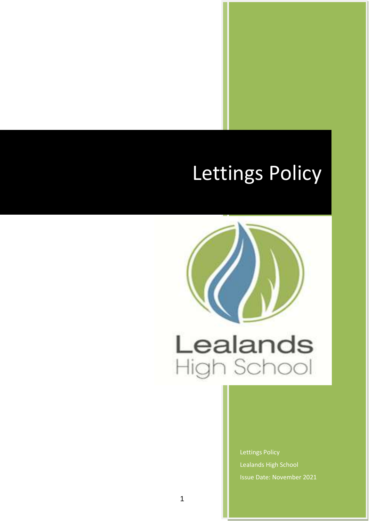# Lettings Policy



Lettings Policy Lealands High School Issue Date: November 2021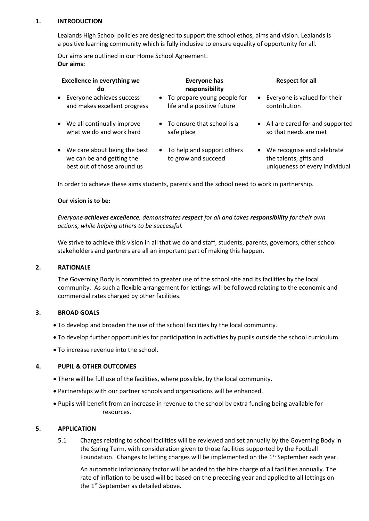#### **1. INTRODUCTION**

Lealands High School policies are designed to support the school ethos, aims and vision. Lealands is a positive learning community which is fully inclusive to ensure equality of opportunity for all.

Our aims are outlined in our Home School Agreement. **Our aims:**

| <b>Excellence in everything we</b><br>do                                                   | <b>Everyone has</b><br>responsibility                       | <b>Respect for all</b>                                                                              |
|--------------------------------------------------------------------------------------------|-------------------------------------------------------------|-----------------------------------------------------------------------------------------------------|
| • Everyone achieves success<br>and makes excellent progress                                | • To prepare young people for<br>life and a positive future | Everyone is valued for their<br>$\bullet$<br>contribution                                           |
| • We all continually improve<br>what we do and work hard                                   | $\bullet$ To ensure that school is a<br>safe place          | • All are cared for and supported<br>so that needs are met                                          |
| • We care about being the best<br>we can be and getting the<br>best out of those around us | • To help and support others<br>to grow and succeed         | We recognise and celebrate<br>$\bullet$<br>the talents, gifts and<br>uniqueness of every individual |

In order to achieve these aims students, parents and the school need to work in partnership.

#### **Our vision is to be:**

*Everyone achieves excellence, demonstrates respect for all and takes responsibility for their own actions, while helping others to be successful.*

We strive to achieve this vision in all that we do and staff, students, parents, governors, other school stakeholders and partners are all an important part of making this happen.

#### **2. RATIONALE**

The Governing Body is committed to greater use of the school site and its facilities by the local community. As such a flexible arrangement for lettings will be followed relating to the economic and commercial rates charged by other facilities.

#### **3. BROAD GOALS**

- To develop and broaden the use of the school facilities by the local community.
- To develop further opportunities for participation in activities by pupils outside the school curriculum.
- To increase revenue into the school.

#### **4. PUPIL & OTHER OUTCOMES**

- There will be full use of the facilities, where possible, by the local community.
- Partnerships with our partner schools and organisations will be enhanced.
- Pupils will benefit from an increase in revenue to the school by extra funding being available for resources.

#### **5. APPLICATION**

5.1 Charges relating to school facilities will be reviewed and set annually by the Governing Body in the Spring Term, with consideration given to those facilities supported by the Football Foundation. Changes to letting charges will be implemented on the  $1<sup>st</sup>$  September each year.

An automatic inflationary factor will be added to the hire charge of all facilities annually. The rate of inflation to be used will be based on the preceding year and applied to all lettings on the  $1<sup>st</sup>$  September as detailed above.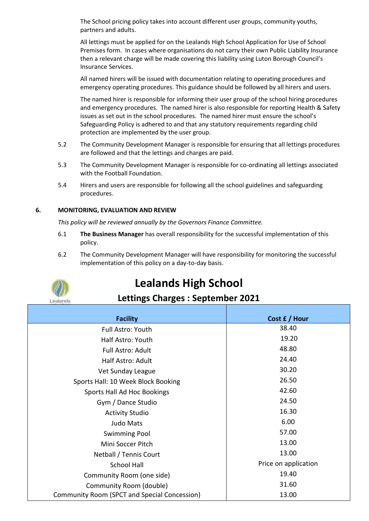The School pricing policy takes into account different user groups, community youths, partners and adults.

All lettings must be applied for on the Lealands High School Application for Use of School Premises form. In cases where organisations do not carry their own Public Liability Insurance then a relevant charge will be made covering this liability using Luton Borough Council's Insurance Services.

All named hirers will be issued with documentation relating to operating procedures and emergency operating procedures. This guidance should be followed by all hirers and users.

The named hirer is responsible for informing their user group of the school hiring procedures and emergency procedures. The named hirer is also responsible for reporting Health & Safety issues as set out in the school procedures. The named hirer must ensure the school's Safeguarding Policy is adhered to and that any statutory requirements regarding child protection are implemented by the user group.

- 5.2 The Community Development Manager is responsible for ensuring that all lettings procedures are followed and that the lettings and charges are paid.
- 5.3 The Community Development Manager is responsible for co-ordinating all lettings associated with the Football Foundation.
- 5.4 Hirers and users are responsible for following all the school guidelines and safeguarding procedures.

#### **6. MONITORING, EVALUATION AND REVIEW**

*This policy will be reviewed annually by the Governors Finance Committee.*

- 6.1 **The Business Manager** has overall responsibility for the successful implementation of this policy.
- 6.2 The Community Development Manager will have responsibility for monitoring the successful implementation of this policy on a day-to-day basis.



# **Lealands High School**

### **Lettings Charges : September 2021**

| <b>Facility</b>                              | Cost £ / Hour        |
|----------------------------------------------|----------------------|
| <b>Full Astro: Youth</b>                     | 38.40                |
| Half Astro: Youth                            | 19.20                |
| <b>Full Astro: Adult</b>                     | 48.80                |
| Half Astro: Adult                            | 24.40                |
| Vet Sunday League                            | 30.20                |
| Sports Hall: 10 Week Block Booking           | 26.50                |
| Sports Hall Ad Hoc Bookings                  | 42.60                |
| Gym / Dance Studio                           | 24.50                |
| <b>Activity Studio</b>                       | 16.30                |
| Judo Mats                                    | 6.00                 |
| <b>Swimming Pool</b>                         | 57.00                |
| Mini Soccer Pitch                            | 13.00                |
| Netball / Tennis Court                       | 13.00                |
| <b>School Hall</b>                           | Price on application |
| Community Room (one side)                    | 19.40                |
| Community Room (double)                      | 31.60                |
| Community Room (SPCT and Special Concession) | 13.00                |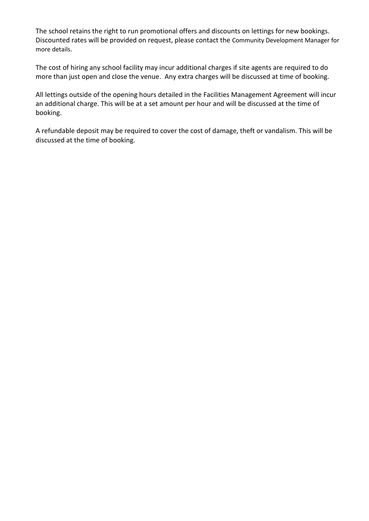The school retains the right to run promotional offers and discounts on lettings for new bookings. Discounted rates will be provided on request, please contact the Community Development Manager for more details.

The cost of hiring any school facility may incur additional charges if site agents are required to do more than just open and close the venue. Any extra charges will be discussed at time of booking.

All lettings outside of the opening hours detailed in the Facilities Management Agreement will incur an additional charge. This will be at a set amount per hour and will be discussed at the time of booking.

A refundable deposit may be required to cover the cost of damage, theft or vandalism. This will be discussed at the time of booking.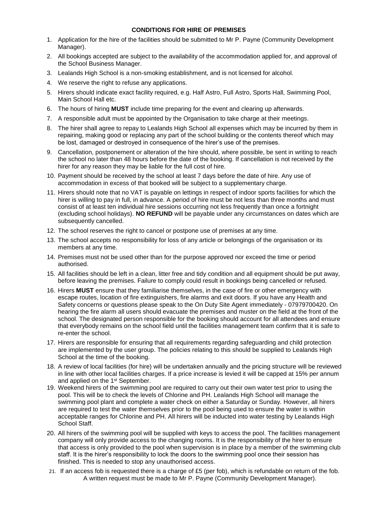#### **CONDITIONS FOR HIRE OF PREMISES**

- 1. Application for the hire of the facilities should be submitted to Mr P. Payne (Community Development Manager).
- 2. All bookings accepted are subject to the availability of the accommodation applied for, and approval of the School Business Manager.
- 3. Lealands High School is a non-smoking establishment, and is not licensed for alcohol.
- 4. We reserve the right to refuse any applications.
- 5. Hirers should indicate exact facility required, e.g. Half Astro, Full Astro, Sports Hall, Swimming Pool, Main School Hall etc.
- 6. The hours of hiring **MUST** include time preparing for the event and clearing up afterwards.
- 7. A responsible adult must be appointed by the Organisation to take charge at their meetings.
- 8. The hirer shall agree to repay to Lealands High School all expenses which may be incurred by them in repairing, making good or replacing any part of the school building or the contents thereof which may be lost, damaged or destroyed in consequence of the hirer's use of the premises.
- 9. Cancellation, postponement or alteration of the hire should, where possible, be sent in writing to reach the school no later than 48 hours before the date of the booking. If cancellation is not received by the hirer for any reason they may be liable for the full cost of hire.
- 10. Payment should be received by the school at least 7 days before the date of hire. Any use of accommodation in excess of that booked will be subject to a supplementary charge.
- 11. Hirers should note that no VAT is payable on lettings in respect of indoor sports facilities for which the hirer is willing to pay in full, in advance. A period of hire must be not less than three months and must consist of at least ten individual hire sessions occurring not less frequently than once a fortnight (excluding school holidays). **NO REFUND** will be payable under any circumstances on dates which are subsequently cancelled.
- 12. The school reserves the right to cancel or postpone use of premises at any time.
- 13. The school accepts no responsibility for loss of any article or belongings of the organisation or its members at any time.
- 14. Premises must not be used other than for the purpose approved nor exceed the time or period authorised.
- 15. All facilities should be left in a clean, litter free and tidy condition and all equipment should be put away, before leaving the premises. Failure to comply could result in bookings being cancelled or refused.
- 16. Hirers **MUST** ensure that they familiarise themselves, in the case of fire or other emergency with escape routes, location of fire extinguishers, fire alarms and exit doors. If you have any Health and Safety concerns or questions please speak to the On Duty Site Agent immediately - 07979700420. On hearing the fire alarm all users should evacuate the premises and muster on the field at the front of the school. The designated person responsible for the booking should account for all attendees and ensure that everybody remains on the school field until the facilities management team confirm that it is safe to re-enter the school.
- 17. Hirers are responsible for ensuring that all requirements regarding safeguarding and child protection are implemented by the user group. The policies relating to this should be supplied to Lealands High School at the time of the booking.
- 18. A review of local facilities (for hire) will be undertaken annually and the pricing structure will be reviewed in line with other local facilities charges. If a price increase is levied it will be capped at 15% per annum and applied on the 1<sup>st</sup> September.
- 19. Weekend hirers of the swimming pool are required to carry out their own water test prior to using the pool. This will be to check the levels of Chlorine and PH. Lealands High School will manage the swimming pool plant and complete a water check on either a Saturday or Sunday. However, all hirers are required to test the water themselves prior to the pool being used to ensure the water is within acceptable ranges for Chlorine and PH. All hirers will be inducted into water testing by Lealands High School Staff.
- 20. All hirers of the swimming pool will be supplied with keys to access the pool. The facilities management company will only provide access to the changing rooms. It is the responsibility of the hirer to ensure that access is only provided to the pool when supervision is in place by a member of the swimming club staff. It is the hirer's responsibility to lock the doors to the swimming pool once their session has finished. This is needed to stop any unauthorised access.
- 21. If an access fob is requested there is a charge of £5 (per fob), which is refundable on return of the fob. A written request must be made to Mr P. Payne (Community Development Manager).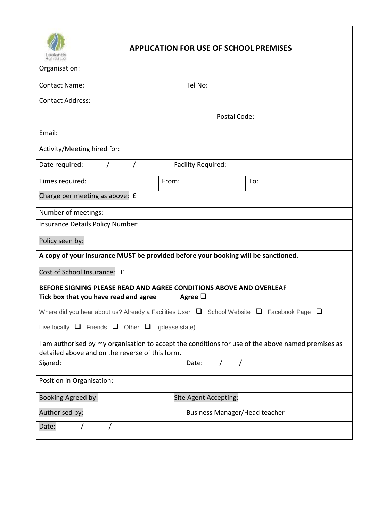

## **APPLICATION FOR USE OF SCHOOL PREMISES**

| resisuas<br>High School                                                                                                     |                                                                                                    |  |  |
|-----------------------------------------------------------------------------------------------------------------------------|----------------------------------------------------------------------------------------------------|--|--|
| Organisation:                                                                                                               |                                                                                                    |  |  |
| <b>Contact Name:</b>                                                                                                        | Tel No:                                                                                            |  |  |
| <b>Contact Address:</b>                                                                                                     |                                                                                                    |  |  |
|                                                                                                                             | Postal Code:                                                                                       |  |  |
| Email:                                                                                                                      |                                                                                                    |  |  |
| Activity/Meeting hired for:                                                                                                 |                                                                                                    |  |  |
| Date required:<br>Facility Required:                                                                                        |                                                                                                    |  |  |
| Times required:<br>From:                                                                                                    | To:                                                                                                |  |  |
| Charge per meeting as above: £                                                                                              |                                                                                                    |  |  |
| Number of meetings:                                                                                                         |                                                                                                    |  |  |
| Insurance Details Policy Number:                                                                                            |                                                                                                    |  |  |
| Policy seen by:                                                                                                             |                                                                                                    |  |  |
| A copy of your insurance MUST be provided before your booking will be sanctioned.                                           |                                                                                                    |  |  |
| Cost of School Insurance: £                                                                                                 |                                                                                                    |  |  |
| BEFORE SIGNING PLEASE READ AND AGREE CONDITIONS ABOVE AND OVERLEAF<br>Tick box that you have read and agree<br>Agree $\Box$ |                                                                                                    |  |  |
| Where did you hear about us? Already a Facilities User $\Box$ School Website $\Box$<br>Facebook Page<br>⊔                   |                                                                                                    |  |  |
| Live locally $\Box$ Friends $\Box$ Other $\Box$<br>(please state)                                                           |                                                                                                    |  |  |
| detailed above and on the reverse of this form.                                                                             | I am authorised by my organisation to accept the conditions for use of the above named premises as |  |  |
| Signed:                                                                                                                     | Date:<br>$\prime$                                                                                  |  |  |
| Position in Organisation:                                                                                                   |                                                                                                    |  |  |
| Booking Agreed by:                                                                                                          | Site Agent Accepting:                                                                              |  |  |
| Authorised by:                                                                                                              | <b>Business Manager/Head teacher</b>                                                               |  |  |
| Date:                                                                                                                       |                                                                                                    |  |  |